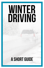# WINTER DRIVING

## A Short guide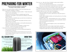## Preparing for winter

#### **There are several key elements to preparing for driving in winter weather conditions.**

- Keep your car in good working condition so that it won't break down and leave you stranded in dangerous conditions.
	- Make sure your car battery is in good condition it takes more power to start a car in cold weather.
	- Make sure that the fluids (coolant & windshield wiper fluid) are designed for cold weather - they should have antifreeze or de-icer to prevent freezing.
	- Make sure that your windshield wipers work well and can handle snow, which is heavier than rain.
	- Make sure your window defrosters work properly and that you know when and how to use them.
	- Check your tire pressure periodically as cold weather decreases tire inflation. This includes your spare tire.
	- Make sure you have the tools & knowledge to change a tire if necessary - spare tire, tire gauge, jack, lug wrench, etc.
- Check that your tires are appropriate for winter driving
	- Snow tires are the best option as they are specifically designed to provide traction in the snow.
	- Your tires should be checked to ensure that they are not worn and that the tread is still deep enough to provide traction in the snow (a minimum of 2/32 inch)

### ALL-SEASON TIRES SNOW TIRES

Normal Traction designed for normal conditions

Tread compound stiffens in cold temperatures

> Made for dry and wet conditions



Traction optimized with deeper grooves and sharp. irregular edges

Tread compound remains flexible in cold temperatures

Designed to grip snow, slush, and Ice

- Know your car take note of how it handles in various road conditions.
	- Does your car have ABS breaking?
	- Is your car front wheel drive, rear wheel drive, or all wheel drive?
	- Does your car have traction control, and can you turn it off?
- Keep your gas tank as close to full as possible in case you get stuck in traffic or stranded and need to keep the car running for longer than expected.
- Stock your car with tools to clean the snow and ice off of your car and supplies to help you survive in the case of an emergency
	- Brush, Ice Scraper, and a small or collapsible shovel
	- Sand/Litter that you can throw under the tires to help with traction if you get stuck.
	- Jumper cables, flashlights, batteries, and warning devices such as flares or emergency markers.
	- Blankets or extra coats thermal blankets pack up small and gloves.
	- Water and food (such as granola bars and non-perishable snacks) in case you're stranded for several hours.
	- Basic First Aid Kit
	- Keep your cell phone well charged in case you are stranded and need to call for help.
	- Other items that you could consider include: battery operated weather radio, hand warmers, small fire extinguisher, duct tape, spare change/cash, paper maps, tow strap, winter boots, glow sticks



A car emergency kit can help keep you safe in bad weather.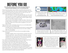## Before you go

**Once the winter weather arrives, there are several things you should do before getting in your car and driving away.** 

- Always check the weather, road conditions, and traffic before leaving. If you are not comfortable driving in the current conditions, the weather is hazardous, or the police has issued a travel warning or ban, DO NOT GO OUT. Your safety is more important than getting to work or school.
	- Know that Andrews is in an area that gets lake effect snow. This means that snow storms can happen suddenly and unpredictably. Checking the weather only gives you a general idea of what to expect. Always check out the window at what you can see.
	- Snow can even cause problems on bright sunny days the snow is an excellent reflector causing light to come not only from above but also from below. Make sure you have a pair of sunglasses in your car to help with glare.
- Make sure that you are comfortable and know how your car handles before driving on main roads or around other traffic.
	- If possible, practice stopping, starting, and turning in an empty parking lot or an empty back road so that you know how winter conditions effect the car's handling.
- Clean snow, ice, and dirt from as much as the car as possible including:
	- All windows
	- Headlights, tail lights, and any sensors (reverse or proximity sensor etc.
	- The car's roof & hood, snow on the roof can slide down over the windshield while snow on the hood can blow up into the windshield and block your view while driving. Snow can also blow off your car and impede the visibility of the other drivers around you.
- Know where you are going and multiple routes you can take to get there as your normal route may be blocked and you will need to divert.
- Leave earlier to allow time to drive safely while still arriving on-time.
- Let others know where you are going, your planned route, and your anticipated arrival time, so that they help find you if something goes wrong.
- If you have a child in a child seat, remove thick winter outerwear before fastening their restraints - thick clothing can interfere with the restraints, causing them to malfunction or work incorrectly. You can place blankets or coats on or around the child after the restraints have been fastened.



and closures. Go to: www.michigan.gov/drive







Driving a car that has not been properly cleaned is hazardous to you and the drivers around you.

Low visibility makes it harder to see hazards or vehicles. Not going out is the best and safest option in bad weather.



Heavy winter clothing can cause the safety restraints to malfunction in a child seat. Instead, dress the child in regular weight clothing, and place coats or blankets over the child after the restraints have been fastened. This also allows the child to push the blankets/coat off when the car warms up.

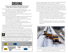### Driving

#### **Driving in winter conditions is more hazardous than clear weather. Here are some tips to help you drive safely**

- Drive with your lights on to increase your visibility to other drivers.
	- Always make sure that you headlights, brake lights, flashers, and turn signals are working properly - including on any trailers.
- Drive slowly without being a hazard to other vehicles.
- If you come across a deer in the road, know how to respond. Deer are most common around October and April.
	- Keep in mind that there are probably more deer around. Drive slowly and carefully until you have completely passed the area.
	- DO NOT SWERVE. This can cause you to slide, your car to roll, or a head-on collision with oncoming traffic.
	- Slow your car as much as possible without locking your tires.
	- You may not be able to avoid hitting the deer, however the slower you are traveling, the better your outcome.
- Increase the space between you and the vehicle in front of you. You will need the extra space if you have to stop. It can take up to 10 times longer to stop on a slippery road, and accidents can happen quickly.
- Know if your car has an anti-lock braking system (ABS), how it works, and how to use it. If it does, apply steady continuous pressure to the brake pedal when slowing down. If it does not, you may need to pump the breaks if your tires lock.

If your car has traction control, and this light flashes, or comes on, your tires have slid and traction control has been engaged to control the slide. However, do not rely on traction control, know what to do.

In slippery conditions it takes much longer to stop and so following distance should be increased from 3-5 seconds (or 3 car lengths) on dry pavement to 8-10 seconds when driving on wet, icy, or snowy pavement. 3-5 seconds 8-10 second Dry Conditions

- Avoid any sudden changes in speed or direction everything takes longer in the winter. Accelerate, brake, and turn slowly to avoid sliding.
- When passing other vehicles, remember that they also cannot stop or slow suddenly. Leave plenty of room in front of a vehicle before moving into their lane. Also remember that the bigger the vehicle, the longer it will take to stop.
- Snow plows and salting trucks are a constant in winter weather. Know how to drive around these vehicles. Remember that they often drive slower, make wide turns, drive in groups, or drive down the middle of two lanes.
	- While the road behind a snow plow is often the cleanest, and sometimes the safest place, do not crowd the truck. If you cannot see their mirrors, they cannot see you. They may also throw up debris or chunks of snow from the plow that could damage your vehicle.
	- Never drive in, through, or close to the cloud of snow thrown up by a snow plow - it can reduce your visibility to zero in less time than you can react.
	- Do not cut off or block the path of the snow plow they are often heavy vehicles that cannot stop in the same amount of space as a regular car.



Wet/Icy/Snowy Conditions Snow plows often drive in varying parts of a lane. Allow lots of space between your vehicle and a plow truck as they often make wide turns, drive slower, or drive in the middle of two lanes.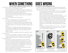### WHEN SOMETHING  $\bigcirc$  GOES WRONG We hope it never happens, but chances are that it will.

- If you are stuck in traffic or stranded in cold or wintry weather:
	- Stay with your car & don't overexert yourself
	- As far as possible, put bright markers on the antenna or windows and keep the interior light on - this will help other vehicles or rescuers to see you and help prevent vehicles from crashing into you.
	- Conserve gas by running the engine only as necessary to stay warm.
	- Make sure that the exhaust pipe is cleared of ice, snow, and debris to avoid asphyxiation.
	- Do not run the vehicle in an enclosed space.
- If you do wreck:
	- If your car is still drivable, pull off at a safe place well off the road. Encourage any other vehicles involved to do the same.
	- If you cannot move your vehicle, and there are cars still approaching or passing, stay in your vehicle. You have a better chance of surviving if you get hit while still in your vehicle than if you get hit standing on the roadway.
	- When or if there is not traffic approaching, and if possible (i.e. you aren't trapped on a bridge), get out and walk carefully as far off the roadway as possible, making sure to avoid any areas where other vehicles may slide.
	- Call 911 to report your accident, and wait for the authorities to arrive.
- If you see a wreck:
	- Do not try to stop and help, your stopped car may become a hazard to other drivers. When safe, use your phone to call 911 and report the accident. Authorities will know how to safely stop or redirect traffic.
- If you get stuck in snow
	- "Rock" the car by going forward a little, then reverse a little, then forward again. Keep repeating the process. Each time you change directions, you should move a little bit farther helping to tramp down loose snow and hopefully give you enough traction to drive out. You may need to use the shovel from your emergency kit to clear some of the snow from around the tires before this will work.
	- If there are other people around, ask them to push while you lightly apply some pressure on the accelerator.
	- You can add traction around your tires by sprinkling sand or kitty litter in front and behind the drive tires (front for front wheel drives etc.)

- Wet roads, ice, and, snow all reduce your car's traction, making it more likely that your car will slide. Avoid a slide by driving slower. If you do slide, there are some steps that you can take to correct a slide:
	- First and foremost, do not panic and DO NOT SLAM ON THE BRAKES
	- Let off the gas pedal. This will slow the car down without locking the wheels and making the slide worse.
	- Keep your eyes focused on where you want the car to go
	- Slowly and evenly turn the steering wheel in the same direction that the back of the vehicle is sliding - often called "turning into the slide".
	- Turn the wheel proportionally to how far and fast the back of the car is sliding - the bigger the slide, the more you will need to turn the wheel.
	- Know that in correcting a slide, the car may start to slide in the other direction - this is called fishtailing. Calmly repeat your actions in the other direction. This may happen several times before the car regains traction.
	- Oversteering turning the wheel too much or too fast can cause the car to fishtail dramatically or go into a full spin, so be sure to make your movements calmly and deliberately.

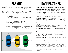### Parking

#### **While you may not think it, snow can present parking challenges.**

- When there isn't snow, take note of the parking patterns where you normally park. Are the spots perpendicular, angled, or parallel parking? If the lot gets covered with snow, you may not be able to see the lines, even if it has been plowed. Knowing the parking pattern helps you to know how to park safely.
- If you cannot see the lines you can guesstimate here the spots should be if you keep in mind the common parking dimensions.
	- In the U.S., most parking spots range from 8 to 10 feet. At Andrews, 10 feet is the standard.
	- Most vehicles average between 5.75 and 6.5 feet wide. This means that there should be 3.5-4.25 feet between you and the car you park next to. Leaving too much space between vehicles can significantly lessen the number of cars that can fit in a parking lot.
	- Try to keep your car out of the aisle by keeping your car perpendicular to the center line (you should be parked in line with the other vehicles).
	- In the case of parallel parking, park as close to the curb as you can, leaving enough space between you and the car in front of you that you can get your car out, without leaving so much space that you end up taking up two cars worth of spots.



## Danger Zones

**Some areas are more prone to ice and hazards than others. Knowing where to look for these hazards will help you to prepare.**

- **Bridges, Overpasses, & Elevated Roadways** can collect snow and ice long before the rest of the roadways and often catch drivers by surprise.
- **Steep hills** can cause hazards as the friction between the tires and the road is not strong enough to overcome the gravity pulling the car down the hill. As far as possible, you should not stop or slow when encountering a steep hill as more friction is required to start or speed up than is required to keep moving.
- **Highways & Freeways** provide dangers as sliding and loosing control is much easier at higher speeds. This can also cause accidents to quickly become bigger cars behind cannot stop in time and become part of the accident.
- **Changes in speed or direction,** such as accelerating away from a stop sign, stopping for a stoplight, or turning a corner can cause a car to slide or wheels to spin leading to the loss of control. Drivers should anticipate any changes to speed or direction and approach them slower than usual.
- **Low-traffic roads** can present hazards as they often have a buildup of snow and ice causing more possibilities of sliding or becoming stuck.
- **Tunnels** can often be damp and cold causing ice that may be hard to see. Whether can also differ from one side of the tunnel to the other which may surprise drivers who exit a tunnel and encounter a road that is suddenly covered in snow and ice.
- **Groundwater and runoff,** such as rain, melted snow, and streams can cause sheets of ice when temperatures drop.
- **Cobblestones and brick** can ice up as fast as bridges and overpasses due to the gaps in the surface that allow cold and ice to infiltrate downwards.
- Even in below-freezing temperatures, **sunshine** can cause snow or ice to melt, leaving a layer of water on top of the ice and snow that makes the roadway even more slippery than before. In addition, **drops in temperatures** after a bright sun or above-freezing temperatures can cause snow and ice melt to refreeze making large sheets of ice that are much more slippery and hazardous.